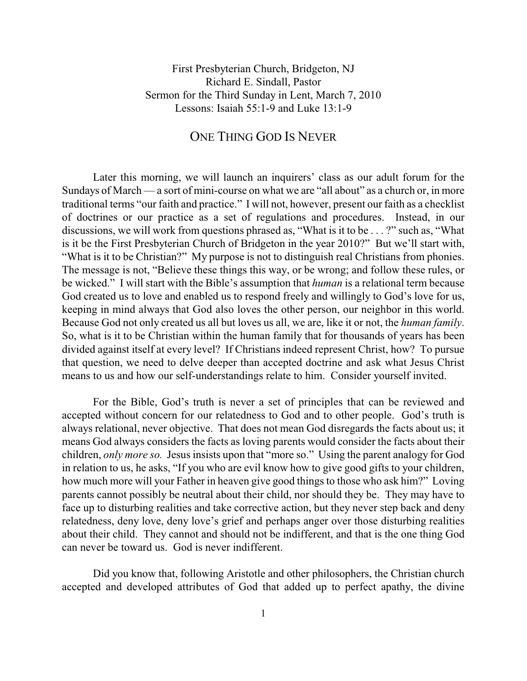First Presbyterian Church, Bridgeton, NJ Richard E. Sindall, Pastor Sermon for the Third Sunday in Lent, March 7, 2010 Lessons: Isaiah 55:1-9 and Luke 13:1-9

## ONE THING GOD IS NEVER

Later this morning, we will launch an inquirers' class as our adult forum for the Sundays of March — a sort of mini-course on what we are "all about" as a church or, in more traditional terms "our faith and practice." I will not, however, present our faith as a checklist of doctrines or our practice as a set of regulations and procedures. Instead, in our discussions, we will work from questions phrased as, "What is it to be . . . ?" such as, "What is it be the First Presbyterian Church of Bridgeton in the year 2010?" But we'll start with, "What is it to be Christian?" My purpose is not to distinguish real Christians from phonies. The message is not, "Believe these things this way, or be wrong; and follow these rules, or be wicked." I will start with the Bible's assumption that *human* is a relational term because God created us to love and enabled us to respond freely and willingly to God's love for us, keeping in mind always that God also loves the other person, our neighbor in this world. Because God not only created us all but loves us all, we are, like it or not, the *human family*. So, what is it to be Christian within the human family that for thousands of years has been divided against itself at every level? If Christians indeed represent Christ, how? To pursue that question, we need to delve deeper than accepted doctrine and ask what Jesus Christ means to us and how our self-understandings relate to him. Consider yourself invited.

For the Bible, God's truth is never a set of principles that can be reviewed and accepted without concern for our relatedness to God and to other people. God's truth is always relational, never objective. That does not mean God disregards the facts about us; it means God always considers the facts as loving parents would consider the facts about their children, *only more so.* Jesus insists upon that "more so." Using the parent analogy for God in relation to us, he asks, "If you who are evil know how to give good gifts to your children, how much more will your Father in heaven give good things to those who ask him?" Loving parents cannot possibly be neutral about their child, nor should they be. They may have to face up to disturbing realities and take corrective action, but they never step back and deny relatedness, deny love, deny love's grief and perhaps anger over those disturbing realities about their child. They cannot and should not be indifferent, and that is the one thing God can never be toward us. God is never indifferent.

Did you know that, following Aristotle and other philosophers, the Christian church accepted and developed attributes of God that added up to perfect apathy, the divine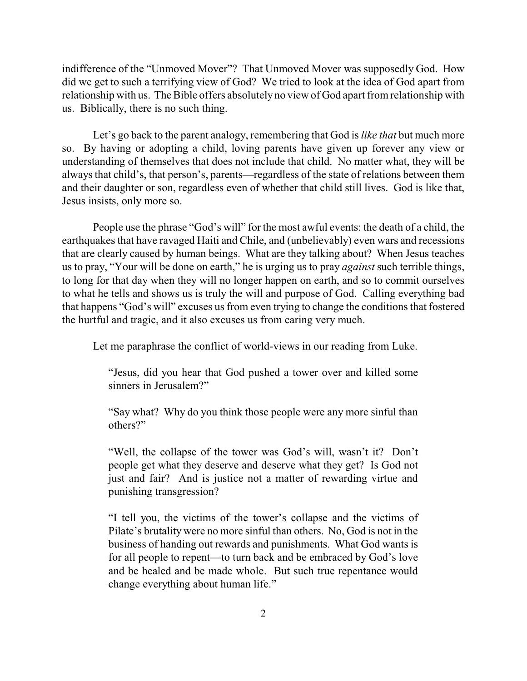indifference of the "Unmoved Mover"? That Unmoved Mover was supposedly God. How did we get to such a terrifying view of God? We tried to look at the idea of God apart from relationship with us. The Bible offers absolutely no view of God apart fromrelationship with us. Biblically, there is no such thing.

Let's go back to the parent analogy, remembering that God is *like that* but much more so. By having or adopting a child, loving parents have given up forever any view or understanding of themselves that does not include that child. No matter what, they will be always that child's, that person's, parents—regardless of the state of relations between them and their daughter or son, regardless even of whether that child still lives. God is like that, Jesus insists, only more so.

People use the phrase "God's will" for the most awful events: the death of a child, the earthquakes that have ravaged Haiti and Chile, and (unbelievably) even wars and recessions that are clearly caused by human beings. What are they talking about? When Jesus teaches us to pray, "Your will be done on earth," he is urging us to pray *against* such terrible things, to long for that day when they will no longer happen on earth, and so to commit ourselves to what he tells and shows us is truly the will and purpose of God. Calling everything bad that happens "God's will" excuses us from even trying to change the conditions that fostered the hurtful and tragic, and it also excuses us from caring very much.

Let me paraphrase the conflict of world-views in our reading from Luke.

"Jesus, did you hear that God pushed a tower over and killed some sinners in Jerusalem?"

"Say what? Why do you think those people were any more sinful than others?"

"Well, the collapse of the tower was God's will, wasn't it? Don't people get what they deserve and deserve what they get? Is God not just and fair? And is justice not a matter of rewarding virtue and punishing transgression?

"I tell you, the victims of the tower's collapse and the victims of Pilate's brutality were no more sinful than others. No, God is not in the business of handing out rewards and punishments. What God wants is for all people to repent—to turn back and be embraced by God's love and be healed and be made whole. But such true repentance would change everything about human life."